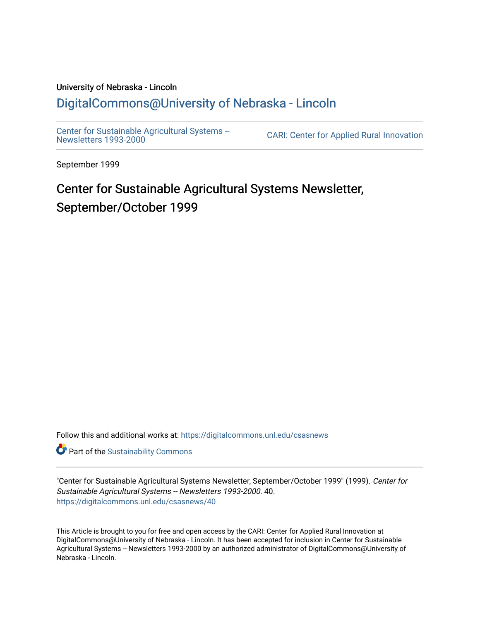# University of Nebraska - Lincoln [DigitalCommons@University of Nebraska - Lincoln](https://digitalcommons.unl.edu/)

[Center for Sustainable Agricultural Systems --](https://digitalcommons.unl.edu/csasnews)<br>Newsletters 1993-2000

CARI: Center for Applied Rural Innovation

September 1999

# Center for Sustainable Agricultural Systems Newsletter, September/October 1999

Follow this and additional works at: [https://digitalcommons.unl.edu/csasnews](https://digitalcommons.unl.edu/csasnews?utm_source=digitalcommons.unl.edu%2Fcsasnews%2F40&utm_medium=PDF&utm_campaign=PDFCoverPages) 

**Part of the [Sustainability Commons](http://network.bepress.com/hgg/discipline/1031?utm_source=digitalcommons.unl.edu%2Fcsasnews%2F40&utm_medium=PDF&utm_campaign=PDFCoverPages)** 

"Center for Sustainable Agricultural Systems Newsletter, September/October 1999" (1999). Center for Sustainable Agricultural Systems -- Newsletters 1993-2000. 40. [https://digitalcommons.unl.edu/csasnews/40](https://digitalcommons.unl.edu/csasnews/40?utm_source=digitalcommons.unl.edu%2Fcsasnews%2F40&utm_medium=PDF&utm_campaign=PDFCoverPages) 

This Article is brought to you for free and open access by the CARI: Center for Applied Rural Innovation at DigitalCommons@University of Nebraska - Lincoln. It has been accepted for inclusion in Center for Sustainable Agricultural Systems -- Newsletters 1993-2000 by an authorized administrator of DigitalCommons@University of Nebraska - Lincoln.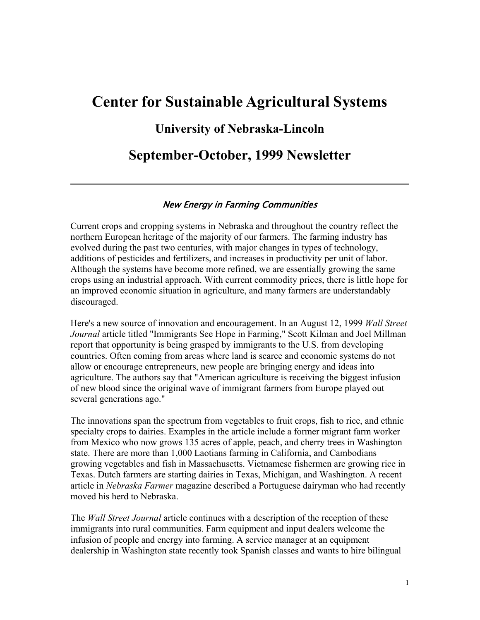# **Center for Sustainable Agricultural Systems**

## **University of Nebraska-Lincoln**

# **September-October, 1999 Newsletter**

#### New Energy in Farming Communities

Current crops and cropping systems in Nebraska and throughout the country reflect the northern European heritage of the majority of our farmers. The farming industry has evolved during the past two centuries, with major changes in types of technology, additions of pesticides and fertilizers, and increases in productivity per unit of labor. Although the systems have become more refined, we are essentially growing the same crops using an industrial approach. With current commodity prices, there is little hope for an improved economic situation in agriculture, and many farmers are understandably discouraged.

Here's a new source of innovation and encouragement. In an August 12, 1999 *Wall Street Journal* article titled "Immigrants See Hope in Farming," Scott Kilman and Joel Millman report that opportunity is being grasped by immigrants to the U.S. from developing countries. Often coming from areas where land is scarce and economic systems do not allow or encourage entrepreneurs, new people are bringing energy and ideas into agriculture. The authors say that "American agriculture is receiving the biggest infusion of new blood since the original wave of immigrant farmers from Europe played out several generations ago."

The innovations span the spectrum from vegetables to fruit crops, fish to rice, and ethnic specialty crops to dairies. Examples in the article include a former migrant farm worker from Mexico who now grows 135 acres of apple, peach, and cherry trees in Washington state. There are more than 1,000 Laotians farming in California, and Cambodians growing vegetables and fish in Massachusetts. Vietnamese fishermen are growing rice in Texas. Dutch farmers are starting dairies in Texas, Michigan, and Washington. A recent article in *Nebraska Farmer* magazine described a Portuguese dairyman who had recently moved his herd to Nebraska.

The *Wall Street Journal* article continues with a description of the reception of these immigrants into rural communities. Farm equipment and input dealers welcome the infusion of people and energy into farming. A service manager at an equipment dealership in Washington state recently took Spanish classes and wants to hire bilingual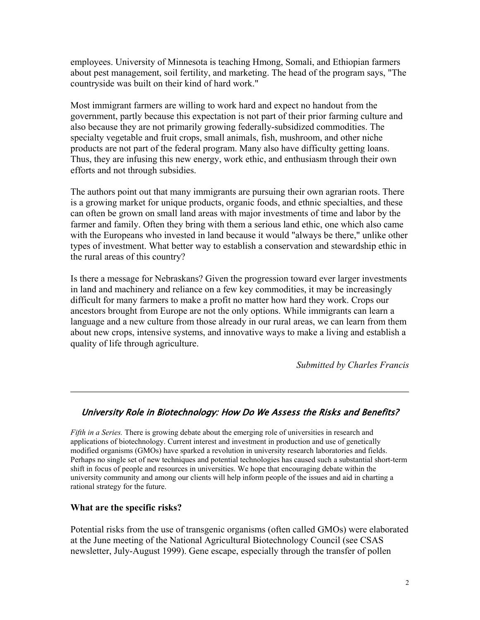employees. University of Minnesota is teaching Hmong, Somali, and Ethiopian farmers about pest management, soil fertility, and marketing. The head of the program says, "The countryside was built on their kind of hard work."

Most immigrant farmers are willing to work hard and expect no handout from the government, partly because this expectation is not part of their prior farming culture and also because they are not primarily growing federally-subsidized commodities. The specialty vegetable and fruit crops, small animals, fish, mushroom, and other niche products are not part of the federal program. Many also have difficulty getting loans. Thus, they are infusing this new energy, work ethic, and enthusiasm through their own efforts and not through subsidies.

The authors point out that many immigrants are pursuing their own agrarian roots. There is a growing market for unique products, organic foods, and ethnic specialties, and these can often be grown on small land areas with major investments of time and labor by the farmer and family. Often they bring with them a serious land ethic, one which also came with the Europeans who invested in land because it would "always be there," unlike other types of investment. What better way to establish a conservation and stewardship ethic in the rural areas of this country?

Is there a message for Nebraskans? Given the progression toward ever larger investments in land and machinery and reliance on a few key commodities, it may be increasingly difficult for many farmers to make a profit no matter how hard they work. Crops our ancestors brought from Europe are not the only options. While immigrants can learn a language and a new culture from those already in our rural areas, we can learn from them about new crops, intensive systems, and innovative ways to make a living and establish a quality of life through agriculture.

*Submitted by Charles Francis*

#### University Role in Biotechnology: How Do We Assess the Risks and Benefits?

*Fifth in a Series.* There is growing debate about the emerging role of universities in research and applications of biotechnology. Current interest and investment in production and use of genetically modified organisms (GMOs) have sparked a revolution in university research laboratories and fields. Perhaps no single set of new techniques and potential technologies has caused such a substantial short-term shift in focus of people and resources in universities. We hope that encouraging debate within the university community and among our clients will help inform people of the issues and aid in charting a rational strategy for the future.

#### **What are the specific risks?**

Potential risks from the use of transgenic organisms (often called GMOs) were elaborated at the June meeting of the National Agricultural Biotechnology Council (see CSAS newsletter, July-August 1999). Gene escape, especially through the transfer of pollen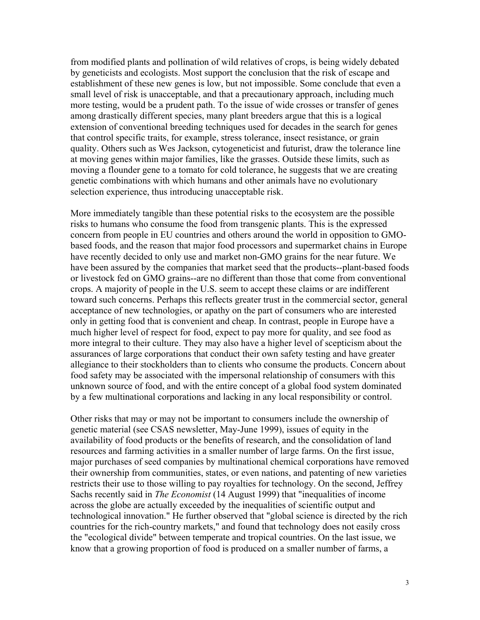from modified plants and pollination of wild relatives of crops, is being widely debated by geneticists and ecologists. Most support the conclusion that the risk of escape and establishment of these new genes is low, but not impossible. Some conclude that even a small level of risk is unacceptable, and that a precautionary approach, including much more testing, would be a prudent path. To the issue of wide crosses or transfer of genes among drastically different species, many plant breeders argue that this is a logical extension of conventional breeding techniques used for decades in the search for genes that control specific traits, for example, stress tolerance, insect resistance, or grain quality. Others such as Wes Jackson, cytogeneticist and futurist, draw the tolerance line at moving genes within major families, like the grasses. Outside these limits, such as moving a flounder gene to a tomato for cold tolerance, he suggests that we are creating genetic combinations with which humans and other animals have no evolutionary selection experience, thus introducing unacceptable risk.

More immediately tangible than these potential risks to the ecosystem are the possible risks to humans who consume the food from transgenic plants. This is the expressed concern from people in EU countries and others around the world in opposition to GMObased foods, and the reason that major food processors and supermarket chains in Europe have recently decided to only use and market non-GMO grains for the near future. We have been assured by the companies that market seed that the products--plant-based foods or livestock fed on GMO grains--are no different than those that come from conventional crops. A majority of people in the U.S. seem to accept these claims or are indifferent toward such concerns. Perhaps this reflects greater trust in the commercial sector, general acceptance of new technologies, or apathy on the part of consumers who are interested only in getting food that is convenient and cheap. In contrast, people in Europe have a much higher level of respect for food, expect to pay more for quality, and see food as more integral to their culture. They may also have a higher level of scepticism about the assurances of large corporations that conduct their own safety testing and have greater allegiance to their stockholders than to clients who consume the products. Concern about food safety may be associated with the impersonal relationship of consumers with this unknown source of food, and with the entire concept of a global food system dominated by a few multinational corporations and lacking in any local responsibility or control.

Other risks that may or may not be important to consumers include the ownership of genetic material (see CSAS newsletter, May-June 1999), issues of equity in the availability of food products or the benefits of research, and the consolidation of land resources and farming activities in a smaller number of large farms. On the first issue, major purchases of seed companies by multinational chemical corporations have removed their ownership from communities, states, or even nations, and patenting of new varieties restricts their use to those willing to pay royalties for technology. On the second, Jeffrey Sachs recently said in *The Economist* (14 August 1999) that "inequalities of income across the globe are actually exceeded by the inequalities of scientific output and technological innovation." He further observed that "global science is directed by the rich countries for the rich-country markets," and found that technology does not easily cross the "ecological divide" between temperate and tropical countries. On the last issue, we know that a growing proportion of food is produced on a smaller number of farms, a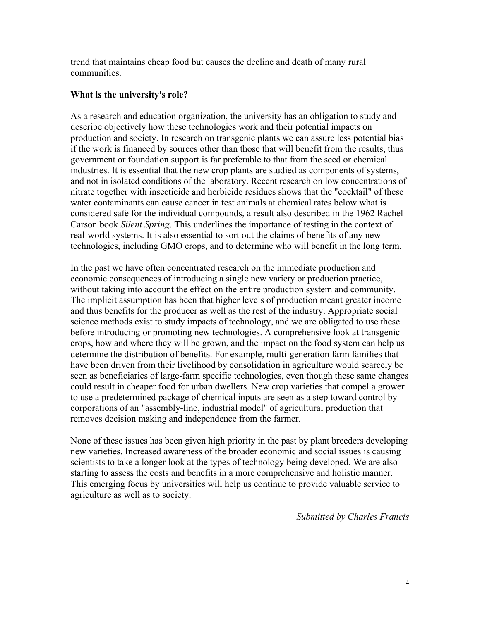trend that maintains cheap food but causes the decline and death of many rural communities.

#### **What is the university's role?**

As a research and education organization, the university has an obligation to study and describe objectively how these technologies work and their potential impacts on production and society. In research on transgenic plants we can assure less potential bias if the work is financed by sources other than those that will benefit from the results, thus government or foundation support is far preferable to that from the seed or chemical industries. It is essential that the new crop plants are studied as components of systems, and not in isolated conditions of the laboratory. Recent research on low concentrations of nitrate together with insecticide and herbicide residues shows that the "cocktail" of these water contaminants can cause cancer in test animals at chemical rates below what is considered safe for the individual compounds, a result also described in the 1962 Rachel Carson book *Silent Spring*. This underlines the importance of testing in the context of real-world systems. It is also essential to sort out the claims of benefits of any new technologies, including GMO crops, and to determine who will benefit in the long term.

In the past we have often concentrated research on the immediate production and economic consequences of introducing a single new variety or production practice, without taking into account the effect on the entire production system and community. The implicit assumption has been that higher levels of production meant greater income and thus benefits for the producer as well as the rest of the industry. Appropriate social science methods exist to study impacts of technology, and we are obligated to use these before introducing or promoting new technologies. A comprehensive look at transgenic crops, how and where they will be grown, and the impact on the food system can help us determine the distribution of benefits. For example, multi-generation farm families that have been driven from their livelihood by consolidation in agriculture would scarcely be seen as beneficiaries of large-farm specific technologies, even though these same changes could result in cheaper food for urban dwellers. New crop varieties that compel a grower to use a predetermined package of chemical inputs are seen as a step toward control by corporations of an "assembly-line, industrial model" of agricultural production that removes decision making and independence from the farmer.

None of these issues has been given high priority in the past by plant breeders developing new varieties. Increased awareness of the broader economic and social issues is causing scientists to take a longer look at the types of technology being developed. We are also starting to assess the costs and benefits in a more comprehensive and holistic manner. This emerging focus by universities will help us continue to provide valuable service to agriculture as well as to society.

*Submitted by Charles Francis*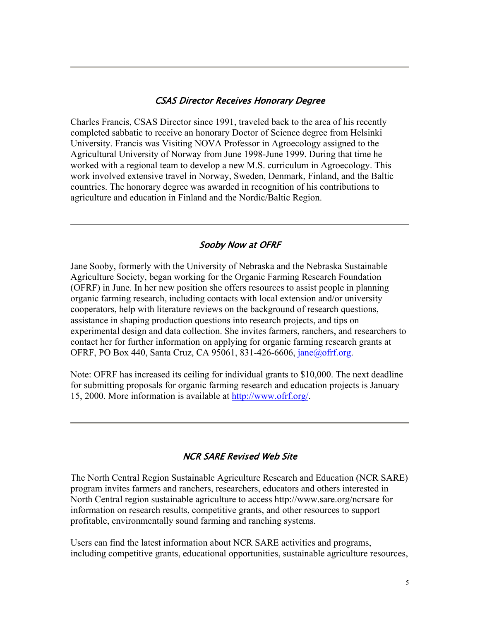#### CSAS Director Receives Honorary Degree

Charles Francis, CSAS Director since 1991, traveled back to the area of his recently completed sabbatic to receive an honorary Doctor of Science degree from Helsinki University. Francis was Visiting NOVA Professor in Agroecology assigned to the Agricultural University of Norway from June 1998-June 1999. During that time he worked with a regional team to develop a new M.S. curriculum in Agroecology. This work involved extensive travel in Norway, Sweden, Denmark, Finland, and the Baltic countries. The honorary degree was awarded in recognition of his contributions to agriculture and education in Finland and the Nordic/Baltic Region.

#### Sooby Now at OFRF

Jane Sooby, formerly with the University of Nebraska and the Nebraska Sustainable Agriculture Society, began working for the Organic Farming Research Foundation (OFRF) in June. In her new position she offers resources to assist people in planning organic farming research, including contacts with local extension and/or university cooperators, help with literature reviews on the background of research questions, assistance in shaping production questions into research projects, and tips on experimental design and data collection. She invites farmers, ranchers, and researchers to contact her for further information on applying for organic farming research grants at OFRF, PO Box 440, Santa Cruz, CA 95061, 831-426-6606, jane@ofrf.org.

Note: OFRF has increased its ceiling for individual grants to \$10,000. The next deadline for submitting proposals for organic farming research and education projects is January 15, 2000. More information is available at http://www.ofrf.org/.

#### NCR SARE Revised Web Site

The North Central Region Sustainable Agriculture Research and Education (NCR SARE) program invites farmers and ranchers, researchers, educators and others interested in North Central region sustainable agriculture to access http://www.sare.org/ncrsare for information on research results, competitive grants, and other resources to support profitable, environmentally sound farming and ranching systems.

Users can find the latest information about NCR SARE activities and programs, including competitive grants, educational opportunities, sustainable agriculture resources,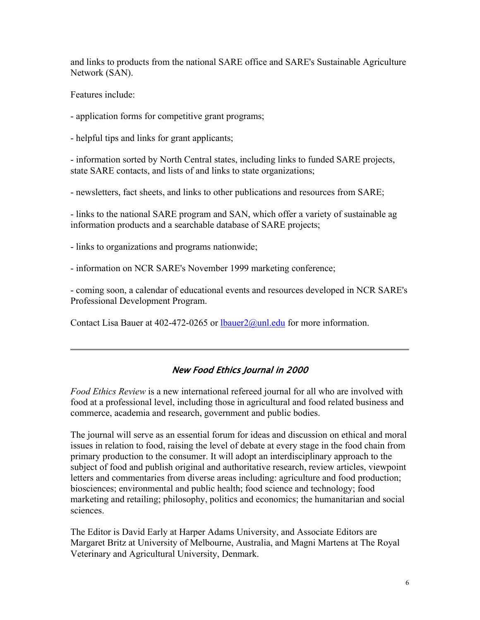and links to products from the national SARE office and SARE's Sustainable Agriculture Network (SAN).

Features include:

- application forms for competitive grant programs;

- helpful tips and links for grant applicants;

- information sorted by North Central states, including links to funded SARE projects, state SARE contacts, and lists of and links to state organizations;

- newsletters, fact sheets, and links to other publications and resources from SARE;

- links to the national SARE program and SAN, which offer a variety of sustainable ag information products and a searchable database of SARE projects;

- links to organizations and programs nationwide;

- information on NCR SARE's November 1999 marketing conference;

- coming soon, a calendar of educational events and resources developed in NCR SARE's Professional Development Program.

Contact Lisa Bauer at 402-472-0265 or  $lbauer2(a)unl.edu$  for more information.

## New Food Ethics Journal in 2000

*Food Ethics Review* is a new international refereed journal for all who are involved with food at a professional level, including those in agricultural and food related business and commerce, academia and research, government and public bodies.

The journal will serve as an essential forum for ideas and discussion on ethical and moral issues in relation to food, raising the level of debate at every stage in the food chain from primary production to the consumer. It will adopt an interdisciplinary approach to the subject of food and publish original and authoritative research, review articles, viewpoint letters and commentaries from diverse areas including: agriculture and food production; biosciences; environmental and public health; food science and technology; food marketing and retailing; philosophy, politics and economics; the humanitarian and social sciences.

The Editor is David Early at Harper Adams University, and Associate Editors are Margaret Britz at University of Melbourne, Australia, and Magni Martens at The Royal Veterinary and Agricultural University, Denmark.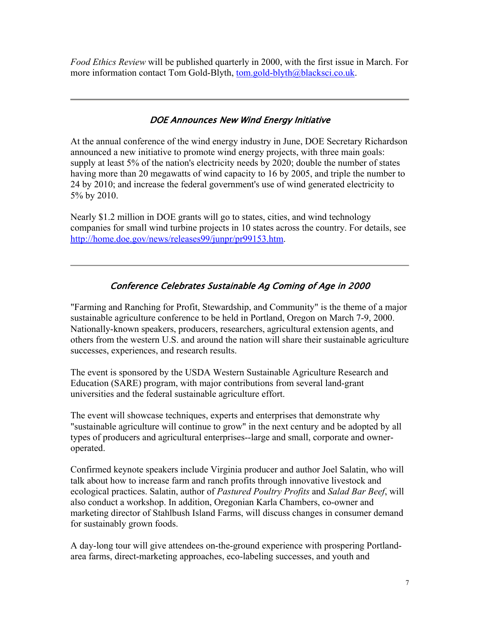*Food Ethics Review* will be published quarterly in 2000, with the first issue in March. For more information contact Tom Gold-Blyth, tom.gold-blyth@blacksci.co.uk.

### DOE Announces New Wind Energy Initiative

At the annual conference of the wind energy industry in June, DOE Secretary Richardson announced a new initiative to promote wind energy projects, with three main goals: supply at least 5% of the nation's electricity needs by 2020; double the number of states having more than 20 megawatts of wind capacity to 16 by 2005, and triple the number to 24 by 2010; and increase the federal government's use of wind generated electricity to 5% by 2010.

Nearly \$1.2 million in DOE grants will go to states, cities, and wind technology companies for small wind turbine projects in 10 states across the country. For details, see http://home.doe.gov/news/releases99/junpr/pr99153.htm.

## Conference Celebrates Sustainable Ag Coming of Age in 2000

"Farming and Ranching for Profit, Stewardship, and Community" is the theme of a major sustainable agriculture conference to be held in Portland, Oregon on March 7-9, 2000. Nationally-known speakers, producers, researchers, agricultural extension agents, and others from the western U.S. and around the nation will share their sustainable agriculture successes, experiences, and research results.

The event is sponsored by the USDA Western Sustainable Agriculture Research and Education (SARE) program, with major contributions from several land-grant universities and the federal sustainable agriculture effort.

The event will showcase techniques, experts and enterprises that demonstrate why "sustainable agriculture will continue to grow" in the next century and be adopted by all types of producers and agricultural enterprises--large and small, corporate and owneroperated.

Confirmed keynote speakers include Virginia producer and author Joel Salatin, who will talk about how to increase farm and ranch profits through innovative livestock and ecological practices. Salatin, author of *Pastured Poultry Profits* and *Salad Bar Beef*, will also conduct a workshop. In addition, Oregonian Karla Chambers, co-owner and marketing director of Stahlbush Island Farms, will discuss changes in consumer demand for sustainably grown foods.

A day-long tour will give attendees on-the-ground experience with prospering Portlandarea farms, direct-marketing approaches, eco-labeling successes, and youth and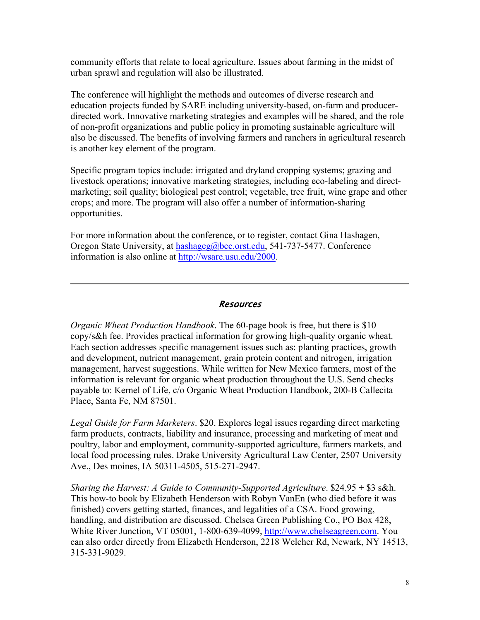community efforts that relate to local agriculture. Issues about farming in the midst of urban sprawl and regulation will also be illustrated.

The conference will highlight the methods and outcomes of diverse research and education projects funded by SARE including university-based, on-farm and producerdirected work. Innovative marketing strategies and examples will be shared, and the role of non-profit organizations and public policy in promoting sustainable agriculture will also be discussed. The benefits of involving farmers and ranchers in agricultural research is another key element of the program.

Specific program topics include: irrigated and dryland cropping systems; grazing and livestock operations; innovative marketing strategies, including eco-labeling and directmarketing; soil quality; biological pest control; vegetable, tree fruit, wine grape and other crops; and more. The program will also offer a number of information-sharing opportunities.

For more information about the conference, or to register, contact Gina Hashagen, Oregon State University, at hashageg@bcc.orst.edu, 541-737-5477. Conference information is also online at http://wsare.usu.edu/2000.

#### Resources

*Organic Wheat Production Handbook*. The 60-page book is free, but there is \$10 copy/s&h fee. Provides practical information for growing high-quality organic wheat. Each section addresses specific management issues such as: planting practices, growth and development, nutrient management, grain protein content and nitrogen, irrigation management, harvest suggestions. While written for New Mexico farmers, most of the information is relevant for organic wheat production throughout the U.S. Send checks payable to: Kernel of Life, c/o Organic Wheat Production Handbook, 200-B Callecita Place, Santa Fe, NM 87501.

*Legal Guide for Farm Marketers*. \$20. Explores legal issues regarding direct marketing farm products, contracts, liability and insurance, processing and marketing of meat and poultry, labor and employment, community-supported agriculture, farmers markets, and local food processing rules. Drake University Agricultural Law Center, 2507 University Ave., Des moines, IA 50311-4505, 515-271-2947.

*Sharing the Harvest: A Guide to Community-Supported Agriculture*. \$24.95 + \$3 s&h. This how-to book by Elizabeth Henderson with Robyn VanEn (who died before it was finished) covers getting started, finances, and legalities of a CSA. Food growing, handling, and distribution are discussed. Chelsea Green Publishing Co., PO Box 428, White River Junction, VT 05001, 1-800-639-4099, http://www.chelseagreen.com. You can also order directly from Elizabeth Henderson, 2218 Welcher Rd, Newark, NY 14513, 315-331-9029.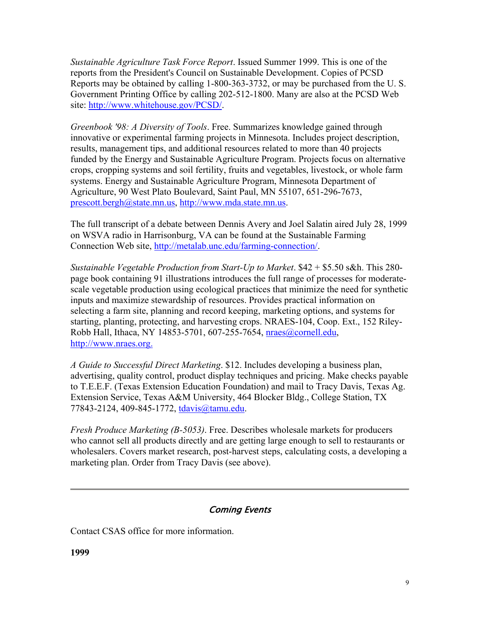*Sustainable Agriculture Task Force Report*. Issued Summer 1999. This is one of the reports from the President's Council on Sustainable Development. Copies of PCSD Reports may be obtained by calling 1-800-363-3732, or may be purchased from the U. S. Government Printing Office by calling 202-512-1800. Many are also at the PCSD Web site: http://www.whitehouse.gov/PCSD/.

*Greenbook '98: A Diversity of Tools*. Free. Summarizes knowledge gained through innovative or experimental farming projects in Minnesota. Includes project description, results, management tips, and additional resources related to more than 40 projects funded by the Energy and Sustainable Agriculture Program. Projects focus on alternative crops, cropping systems and soil fertility, fruits and vegetables, livestock, or whole farm systems. Energy and Sustainable Agriculture Program, Minnesota Department of Agriculture, 90 West Plato Boulevard, Saint Paul, MN 55107, 651-296-7673, prescott.bergh@state.mn.us, http://www.mda.state.mn.us.

The full transcript of a debate between Dennis Avery and Joel Salatin aired July 28, 1999 on WSVA radio in Harrisonburg, VA can be found at the Sustainable Farming Connection Web site, http://metalab.unc.edu/farming-connection/.

*Sustainable Vegetable Production from Start-Up to Market*. \$42 + \$5.50 s&h. This 280 page book containing 91 illustrations introduces the full range of processes for moderatescale vegetable production using ecological practices that minimize the need for synthetic inputs and maximize stewardship of resources. Provides practical information on selecting a farm site, planning and record keeping, marketing options, and systems for starting, planting, protecting, and harvesting crops. NRAES-104, Coop. Ext., 152 Riley-Robb Hall, Ithaca, NY 14853-5701, 607-255-7654, nraes@cornell.edu, http://www.nraes.org.

*A Guide to Successful Direct Marketing*. \$12. Includes developing a business plan, advertising, quality control, product display techniques and pricing. Make checks payable to T.E.E.F. (Texas Extension Education Foundation) and mail to Tracy Davis, Texas Ag. Extension Service, Texas A&M University, 464 Blocker Bldg., College Station, TX 77843-2124, 409-845-1772, tdavis@tamu.edu.

*Fresh Produce Marketing (B-5053)*. Free. Describes wholesale markets for producers who cannot sell all products directly and are getting large enough to sell to restaurants or wholesalers. Covers market research, post-harvest steps, calculating costs, a developing a marketing plan. Order from Tracy Davis (see above).

#### Coming Events

Contact CSAS office for more information.

**1999**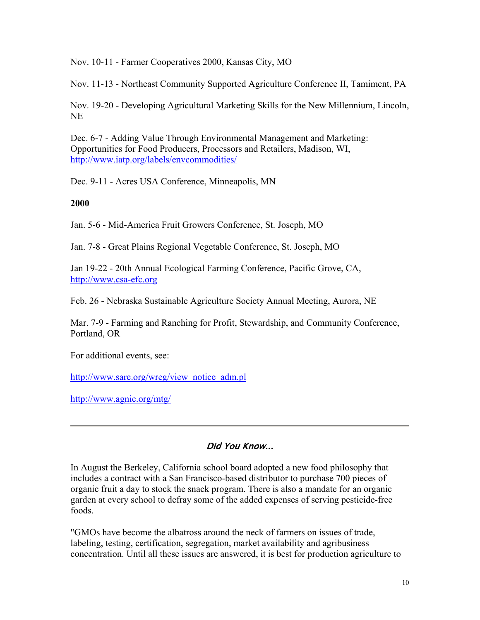Nov. 10-11 - Farmer Cooperatives 2000, Kansas City, MO

Nov. 11-13 - Northeast Community Supported Agriculture Conference II, Tamiment, PA

Nov. 19-20 - Developing Agricultural Marketing Skills for the New Millennium, Lincoln, NE

Dec. 6-7 - Adding Value Through Environmental Management and Marketing: Opportunities for Food Producers, Processors and Retailers, Madison, WI, http://www.iatp.org/labels/envcommodities/

Dec. 9-11 - Acres USA Conference, Minneapolis, MN

**2000**

Jan. 5-6 - Mid-America Fruit Growers Conference, St. Joseph, MO

Jan. 7-8 - Great Plains Regional Vegetable Conference, St. Joseph, MO

Jan 19-22 - 20th Annual Ecological Farming Conference, Pacific Grove, CA, http://www.csa-efc.org

Feb. 26 - Nebraska Sustainable Agriculture Society Annual Meeting, Aurora, NE

Mar. 7-9 - Farming and Ranching for Profit, Stewardship, and Community Conference, Portland, OR

For additional events, see:

http://www.sare.org/wreg/view\_notice\_adm.pl

http://www.agnic.org/mtg/

#### Did You Know...

In August the Berkeley, California school board adopted a new food philosophy that includes a contract with a San Francisco-based distributor to purchase 700 pieces of organic fruit a day to stock the snack program. There is also a mandate for an organic garden at every school to defray some of the added expenses of serving pesticide-free foods.

"GMOs have become the albatross around the neck of farmers on issues of trade, labeling, testing, certification, segregation, market availability and agribusiness concentration. Until all these issues are answered, it is best for production agriculture to